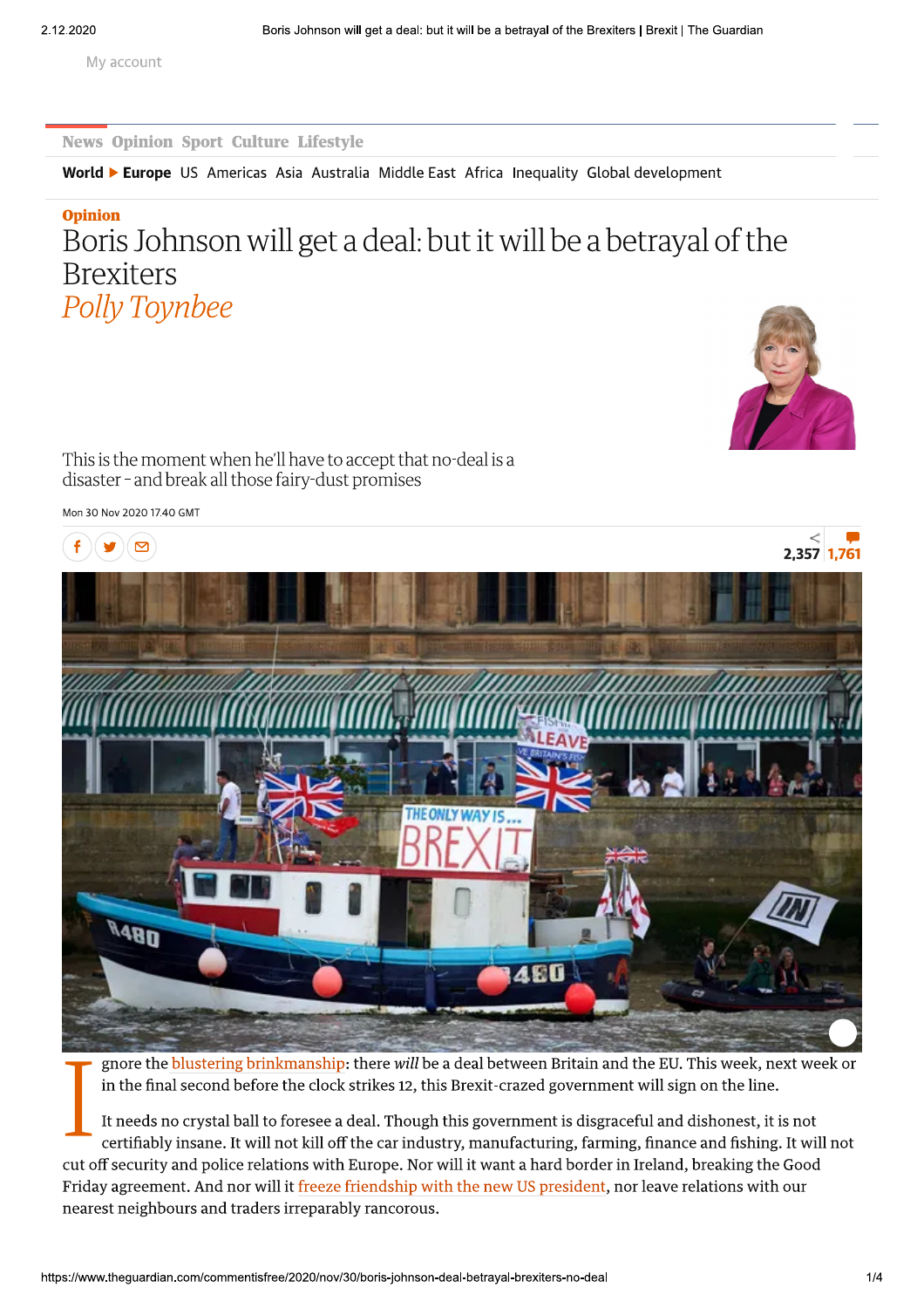My account

**News Opinion Sport Culture Lifestyle** 

World > Europe US Americas Asia Australia Middle East Africa Inequality Global development

## **Opinion** Boris Johnson will get a deal: but it will be a betrayal of the **Brexiters** Polly Toynbee



This is the moment when he'll have to accept that no-deal is a disaster - and break all those fairy-dust promises

Mon 30 Nov 2020 17.40 GMT



gnore the blustering brinkmanship: there will be a deal between Britain and the EU. This week, next week or in the final second before the clock strikes 12, this Brexit-crazed government will sign on the line.

It needs no crystal ball to foresee a deal. Though this government is disgraceful and dishonest, it is not certifiably insane. It will not kill off the car industry, manufacturing, farming, finance and fishing. It will not cut off security and police relations with Europe. Nor will it want a hard border in Ireland, breaking the Good Friday agreement. And nor will it freeze friendship with the new US president, nor leave relations with our nearest neighbours and traders irreparably rancorous.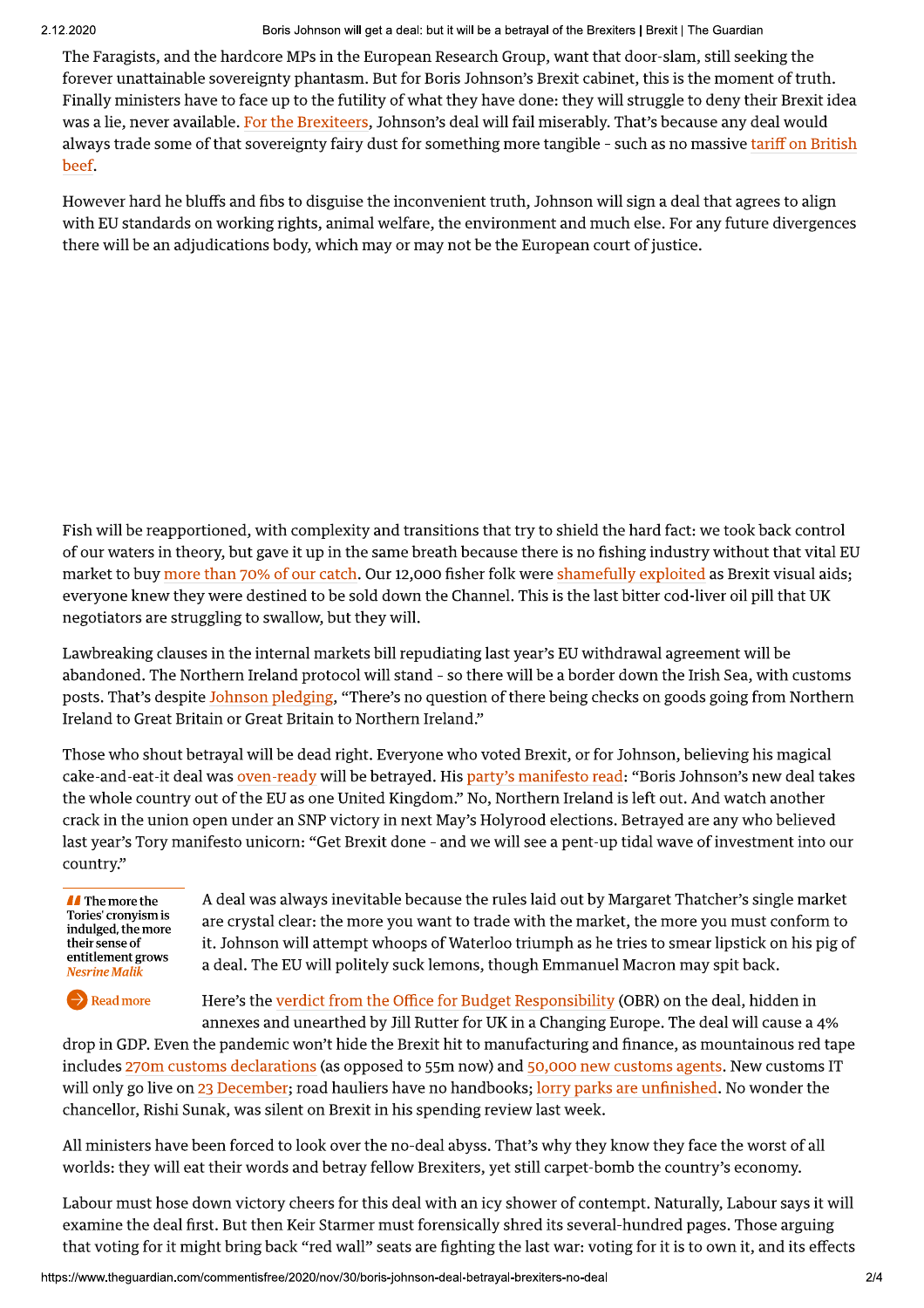## 2.12.2020

## Boris Johnson will get a deal: but it will be a betrayal of the Brexiters | Brexit | The Guardian

The Faragists, and the hardcore MPs in the European Research Group, want that door-slam, still seeking the forever unattainable sovereignty phantasm. But for Boris Johnson's Brexit cabinet, this is the moment of truth. Finally ministers have to face up to the futility of what they have done: they will struggle to deny their Brexit idea was a lie, never available. For the Brexiteers, Johnson's deal will fail miserably. That's because any deal would always trade some of that sovereignty fairy dust for something more tangible - such as no massive tariff on British beef.

However hard he bluffs and fibs to disguise the inconvenient truth, Johnson will sign a deal that agrees to align with EU standards on working rights, animal welfare, the environment and much else. For any future divergences there will be an adjudications body, which may or may not be the European court of justice.

Fish will be reapportioned, with complexity and transitions that try to shield the hard fact: we took back control of our waters in theory, but gave it up in the same breath because there is no fishing industry without that vital EU market to buy more than 70% of our catch. Our 12,000 fisher folk were shamefully exploited as Brexit visual aids; everyone knew they were destined to be sold down the Channel. This is the last bitter cod-liver oil pill that UK negotiators are struggling to swallow, but they will.

Lawbreaking clauses in the internal markets bill repudiating last year's EU withdrawal agreement will be abandoned. The Northern Ireland protocol will stand - so there will be a border down the Irish Sea, with customs posts. That's despite Johnson pledging, "There's no question of there being checks on goods going from Northern Ireland to Great Britain or Great Britain to Northern Ireland."

Those who shout betrayal will be dead right. Everyone who voted Brexit, or for Johnson, believing his magical cake-and-eat-it deal was oven-ready will be betrayed. His party's manifesto read: "Boris Johnson's new deal takes the whole country out of the EU as one United Kingdom." No, Northern Ireland is left out. And watch another crack in the union open under an SNP victory in next May's Holyrood elections. Betrayed are any who believed last year's Tory manifesto unicorn: "Get Brexit done - and we will see a pent-up tidal wave of investment into our country."

I The more the Tories' cronyism is indulged, the more their sense of entitlement grows **Nesrine Malik** 

A deal was always inevitable because the rules laid out by Margaret Thatcher's single market are crystal clear: the more you want to trade with the market, the more you must conform to it. Johnson will attempt whoops of Waterloo triumph as he tries to smear lipstick on his pig of a deal. The EU will politely suck lemons, though Emmanuel Macron may spit back.

 $\rightarrow$  Read more

Here's the verdict from the Office for Budget Responsibility (OBR) on the deal, hidden in annexes and unearthed by Jill Rutter for UK in a Changing Europe. The deal will cause a 4%

drop in GDP. Even the pandemic won't hide the Brexit hit to manufacturing and finance, as mountainous red tape includes 270m customs declarations (as opposed to 55m now) and 50,000 new customs agents. New customs IT will only go live on 23 December; road hauliers have no handbooks; lorry parks are unfinished. No wonder the chancellor, Rishi Sunak, was silent on Brexit in his spending review last week.

All ministers have been forced to look over the no-deal abyss. That's why they know they face the worst of all worlds: they will eat their words and betray fellow Brexiters, yet still carpet-bomb the country's economy.

Labour must hose down victory cheers for this deal with an icy shower of contempt. Naturally, Labour savs it will examine the deal first. But then Keir Starmer must forensically shred its several-hundred pages. Those arguing that voting for it might bring back "red wall" seats are fighting the last war: voting for it is to own it, and its effects